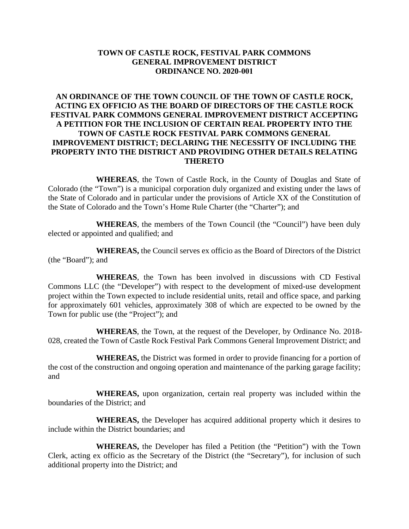## **TOWN OF CASTLE ROCK, FESTIVAL PARK COMMONS GENERAL IMPROVEMENT DISTRICT ORDINANCE NO. 2020-001**

# **AN ORDINANCE OF THE TOWN COUNCIL OF THE TOWN OF CASTLE ROCK, ACTING EX OFFICIO AS THE BOARD OF DIRECTORS OF THE CASTLE ROCK FESTIVAL PARK COMMONS GENERAL IMPROVEMENT DISTRICT ACCEPTING A PETITION FOR THE INCLUSION OF CERTAIN REAL PROPERTY INTO THE TOWN OF CASTLE ROCK FESTIVAL PARK COMMONS GENERAL IMPROVEMENT DISTRICT; DECLARING THE NECESSITY OF INCLUDING THE PROPERTY INTO THE DISTRICT AND PROVIDING OTHER DETAILS RELATING THERETO**

**WHEREAS**, the Town of Castle Rock, in the County of Douglas and State of Colorado (the "Town") is a municipal corporation duly organized and existing under the laws of the State of Colorado and in particular under the provisions of Article XX of the Constitution of the State of Colorado and the Town's Home Rule Charter (the "Charter"); and

**WHEREAS**, the members of the Town Council (the "Council") have been duly elected or appointed and qualified; and

**WHEREAS,** the Council serves ex officio as the Board of Directors of the District (the "Board"); and

**WHEREAS**, the Town has been involved in discussions with CD Festival Commons LLC (the "Developer") with respect to the development of mixed-use development project within the Town expected to include residential units, retail and office space, and parking for approximately 601 vehicles, approximately 308 of which are expected to be owned by the Town for public use (the "Project"); and

**WHEREAS**, the Town, at the request of the Developer, by Ordinance No. 2018- 028, created the Town of Castle Rock Festival Park Commons General Improvement District; and

**WHEREAS,** the District was formed in order to provide financing for a portion of the cost of the construction and ongoing operation and maintenance of the parking garage facility; and

**WHEREAS,** upon organization, certain real property was included within the boundaries of the District; and

**WHEREAS,** the Developer has acquired additional property which it desires to include within the District boundaries; and

**WHEREAS,** the Developer has filed a Petition (the "Petition") with the Town Clerk, acting ex officio as the Secretary of the District (the "Secretary"), for inclusion of such additional property into the District; and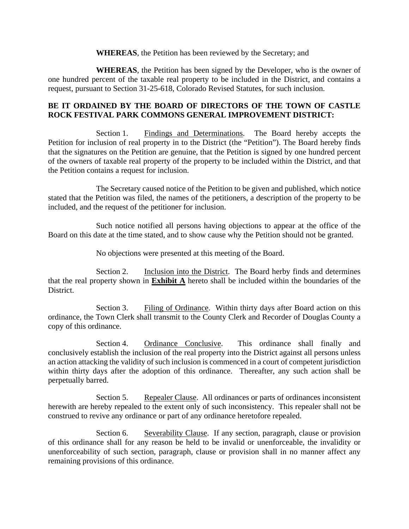**WHEREAS**, the Petition has been reviewed by the Secretary; and

**WHEREAS**, the Petition has been signed by the Developer, who is the owner of one hundred percent of the taxable real property to be included in the District, and contains a request, pursuant to Section 31-25-618, Colorado Revised Statutes, for such inclusion.

## **BE IT ORDAINED BY THE BOARD OF DIRECTORS OF THE TOWN OF CASTLE ROCK FESTIVAL PARK COMMONS GENERAL IMPROVEMENT DISTRICT:**

Section 1. Findings and Determinations. The Board hereby accepts the Petition for inclusion of real property in to the District (the "Petition"). The Board hereby finds that the signatures on the Petition are genuine, that the Petition is signed by one hundred percent of the owners of taxable real property of the property to be included within the District, and that the Petition contains a request for inclusion.

The Secretary caused notice of the Petition to be given and published, which notice stated that the Petition was filed, the names of the petitioners, a description of the property to be included, and the request of the petitioner for inclusion.

Such notice notified all persons having objections to appear at the office of the Board on this date at the time stated, and to show cause why the Petition should not be granted.

No objections were presented at this meeting of the Board.

Section 2. Inclusion into the District. The Board herby finds and determines that the real property shown in **Exhibit A** hereto shall be included within the boundaries of the District.

Section 3. Filing of Ordinance. Within thirty days after Board action on this ordinance, the Town Clerk shall transmit to the County Clerk and Recorder of Douglas County a copy of this ordinance.

Section 4. Ordinance Conclusive. This ordinance shall finally and conclusively establish the inclusion of the real property into the District against all persons unless an action attacking the validity of such inclusion is commenced in a court of competent jurisdiction within thirty days after the adoption of this ordinance. Thereafter, any such action shall be perpetually barred.

Section 5. Repealer Clause. All ordinances or parts of ordinances inconsistent herewith are hereby repealed to the extent only of such inconsistency. This repealer shall not be construed to revive any ordinance or part of any ordinance heretofore repealed.

Section 6. Severability Clause. If any section, paragraph, clause or provision of this ordinance shall for any reason be held to be invalid or unenforceable, the invalidity or unenforceability of such section, paragraph, clause or provision shall in no manner affect any remaining provisions of this ordinance.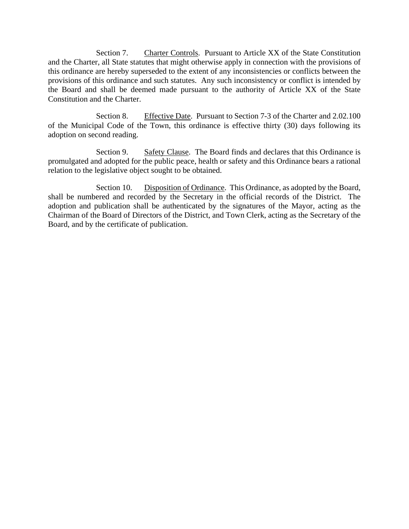Section 7. Charter Controls. Pursuant to Article XX of the State Constitution and the Charter, all State statutes that might otherwise apply in connection with the provisions of this ordinance are hereby superseded to the extent of any inconsistencies or conflicts between the provisions of this ordinance and such statutes. Any such inconsistency or conflict is intended by the Board and shall be deemed made pursuant to the authority of Article XX of the State Constitution and the Charter.

Section 8. Effective Date. Pursuant to Section 7-3 of the Charter and 2.02.100 of the Municipal Code of the Town, this ordinance is effective thirty (30) days following its adoption on second reading.

Section 9. Safety Clause. The Board finds and declares that this Ordinance is promulgated and adopted for the public peace, health or safety and this Ordinance bears a rational relation to the legislative object sought to be obtained.

Section 10. Disposition of Ordinance. This Ordinance, as adopted by the Board, shall be numbered and recorded by the Secretary in the official records of the District. The adoption and publication shall be authenticated by the signatures of the Mayor, acting as the Chairman of the Board of Directors of the District, and Town Clerk, acting as the Secretary of the Board, and by the certificate of publication.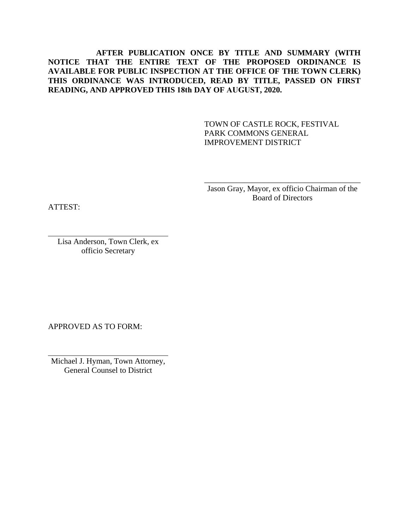# **AFTER PUBLICATION ONCE BY TITLE AND SUMMARY (WITH NOTICE THAT THE ENTIRE TEXT OF THE PROPOSED ORDINANCE IS AVAILABLE FOR PUBLIC INSPECTION AT THE OFFICE OF THE TOWN CLERK) THIS ORDINANCE WAS INTRODUCED, READ BY TITLE, PASSED ON FIRST READING, AND APPROVED THIS 18th DAY OF AUGUST, 2020.**

TOWN OF CASTLE ROCK, FESTIVAL PARK COMMONS GENERAL IMPROVEMENT DISTRICT

Jason Gray, Mayor, ex officio Chairman of the Board of Directors

\_\_\_\_\_\_\_\_\_\_\_\_\_\_\_\_\_\_\_\_\_\_\_\_\_\_\_\_\_\_\_\_\_\_\_\_\_\_\_

ATTEST:

Lisa Anderson, Town Clerk, ex officio Secretary

APPROVED AS TO FORM:

Michael J. Hyman, Town Attorney, General Counsel to District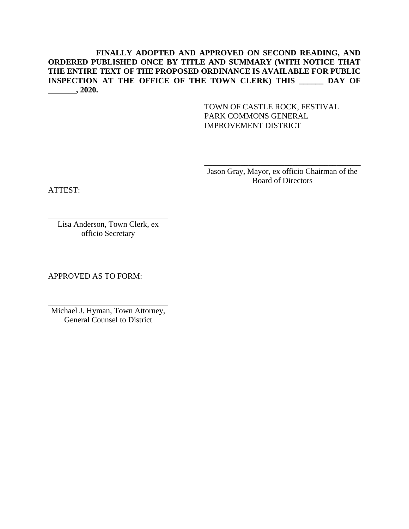## **FINALLY ADOPTED AND APPROVED ON SECOND READING, AND ORDERED PUBLISHED ONCE BY TITLE AND SUMMARY (WITH NOTICE THAT THE ENTIRE TEXT OF THE PROPOSED ORDINANCE IS AVAILABLE FOR PUBLIC INSPECTION AT THE OFFICE OF THE TOWN CLERK) THIS \_\_\_\_\_\_ DAY OF \_\_\_\_\_\_\_, 2020.**

TOWN OF CASTLE ROCK, FESTIVAL PARK COMMONS GENERAL IMPROVEMENT DISTRICT

Jason Gray, Mayor, ex officio Chairman of the Board of Directors

\_\_\_\_\_\_\_\_\_\_\_\_\_\_\_\_\_\_\_\_\_\_\_\_\_\_\_\_\_\_\_\_\_\_\_\_\_\_\_

ATTEST:

Lisa Anderson, Town Clerk, ex officio Secretary

APPROVED AS TO FORM:

Michael J. Hyman, Town Attorney, General Counsel to District